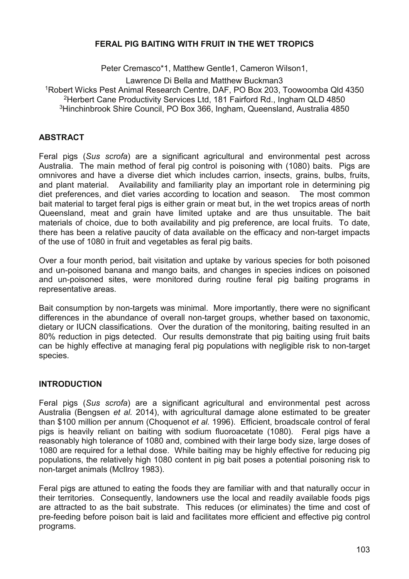## **FERAL PIG BAITING WITH FRUIT IN THE WET TROPICS**

Peter Cremasco\*1, Matthew Gentle1, Cameron Wilson1,

Lawrence Di Bella and Matthew Buckman3 Robert Wicks Pest Animal Research Centre, DAF, PO Box 203, Toowoomba Qld 4350 Herbert Cane Productivity Services Ltd, 181 Fairford Rd., Ingham QLD 4850 Hinchinbrook Shire Council, PO Box 366, Ingham, Queensland, Australia 4850

## **ABSTRACT**

Feral pigs (*Sus scrofa*) are a significant agricultural and environmental pest across Australia. The main method of feral pig control is poisoning with (1080) baits. Pigs are omnivores and have a diverse diet which includes carrion, insects, grains, bulbs, fruits, and plant material. Availability and familiarity play an important role in determining pig diet preferences, and diet varies according to location and season. The most common bait material to target feral pigs is either grain or meat but, in the wet tropics areas of north Queensland, meat and grain have limited uptake and are thus unsuitable. The bait materials of choice, due to both availability and pig preference, are local fruits. To date, there has been a relative paucity of data available on the efficacy and non-target impacts of the use of 1080 in fruit and vegetables as feral pig baits.

Over a four month period, bait visitation and uptake by various species for both poisoned and un-poisoned banana and mango baits, and changes in species indices on poisoned and un-poisoned sites, were monitored during routine feral pig baiting programs in representative areas.

Bait consumption by non-targets was minimal. More importantly, there were no significant differences in the abundance of overall non-target groups, whether based on taxonomic, dietary or IUCN classifications. Over the duration of the monitoring, baiting resulted in an 80% reduction in pigs detected. Our results demonstrate that pig baiting using fruit baits can be highly effective at managing feral pig populations with negligible risk to non-target species.

# **INTRODUCTION**

Feral pigs (*Sus scrofa*) are a significant agricultural and environmental pest across Australia (Bengsen *et al.* 2014), with agricultural damage alone estimated to be greater than \$100 million per annum (Choquenot *et al.* 1996). Efficient, broadscale control of feral pigs is heavily reliant on baiting with sodium fluoroacetate (1080). Feral pigs have a reasonably high tolerance of 1080 and, combined with their large body size, large doses of 1080 are required for a lethal dose. While baiting may be highly effective for reducing pig populations, the relatively high 1080 content in pig bait poses a potential poisoning risk to non-target animals (McIlroy 1983).

Feral pigs are attuned to eating the foods they are familiar with and that naturally occur in their territories. Consequently, landowners use the local and readily available foods pigs are attracted to as the bait substrate. This reduces (or eliminates) the time and cost of pre-feeding before poison bait is laid and facilitates more efficient and effective pig control programs.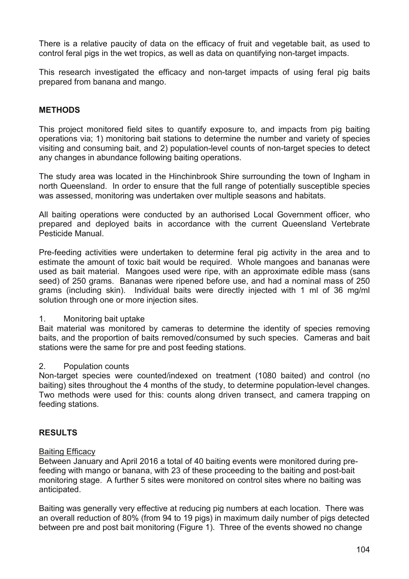There is a relative paucity of data on the efficacy of fruit and vegetable bait, as used to control feral pigs in the wet tropics, as well as data on quantifying non-target impacts.

This research investigated the efficacy and non-target impacts of using feral pig baits prepared from banana and mango.

# **METHODS**

This project monitored field sites to quantify exposure to, and impacts from pig baiting operations via; 1) monitoring bait stations to determine the number and variety of species visiting and consuming bait, and 2) population-level counts of non-target species to detect any changes in abundance following baiting operations.

The study area was located in the Hinchinbrook Shire surrounding the town of Ingham in north Queensland. In order to ensure that the full range of potentially susceptible species was assessed, monitoring was undertaken over multiple seasons and habitats.

All baiting operations were conducted by an authorised Local Government officer, who prepared and deployed baits in accordance with the current Queensland Vertebrate Pesticide Manual.

Pre-feeding activities were undertaken to determine feral pig activity in the area and to estimate the amount of toxic bait would be required. Whole mangoes and bananas were used as bait material. Mangoes used were ripe, with an approximate edible mass (sans seed) of 250 grams. Bananas were ripened before use, and had a nominal mass of 250 grams (including skin). Individual baits were directly injected with 1 ml of 36 mg/ml solution through one or more injection sites.

### 1. Monitoring bait uptake

Bait material was monitored by cameras to determine the identity of species removing baits, and the proportion of baits removed/consumed by such species. Cameras and bait stations were the same for pre and post feeding stations.

### 2. Population counts

Non-target species were counted/indexed on treatment (1080 baited) and control (no baiting) sites throughout the 4 months of the study, to determine population-level changes. Two methods were used for this: counts along driven transect, and camera trapping on feeding stations.

# **RESULTS**

### Baiting Efficacy

Between January and April 2016 a total of 40 baiting events were monitored during prefeeding with mango or banana, with 23 of these proceeding to the baiting and post-bait monitoring stage. A further 5 sites were monitored on control sites where no baiting was anticipated.

Baiting was generally very effective at reducing pig numbers at each location. There was an overall reduction of 80% (from 94 to 19 pigs) in maximum daily number of pigs detected between pre and post bait monitoring (Figure 1). Three of the events showed no change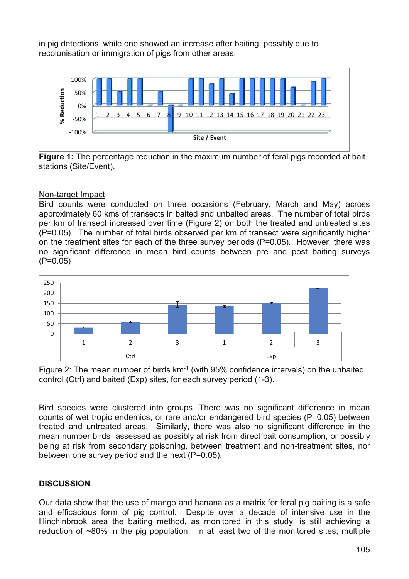in pig detections, while one showed an increase after baiting, possibly due to recolonisation or immigration of pigs from other areas.



**Figure 1:** The percentage reduction in the maximum number of feral pigs recorded at bait stations (Site/Event).

### Non-target Impact

Bird counts were conducted on three occasions (February, March and May) across approximately 60 kms of transects in baited and unbaited areas. The number of total birds per km of transect increased over time (Figure 2) on both the treated and untreated sites (P=0.05). The number of total birds observed per km of transect were significantly higher on the treatment sites for each of the three survey periods (P=0.05). However, there was no significant difference in mean bird counts between pre and post baiting surveys (P=0.05)





Bird species were clustered into groups. There was no significant difference in mean counts of wet tropic endemics, or rare and/or endangered bird species (P=0.05) between treated and untreated areas. Similarly, there was also no significant difference in the mean number birds assessed as possibly at risk from direct bait consumption, or possibly being at risk from secondary poisoning, between treatment and non-treatment sites, nor between one survey period and the next (P=0.05).

# **DISCUSSION**

Our data show that the use of mango and banana as a matrix for feral pig baiting is a safe and efficacious form of pig control. Despite over a decade of intensive use in the Hinchinbrook area the baiting method, as monitored in this study, is still achieving a reduction of ~80% in the pig population. In at least two of the monitored sites, multiple